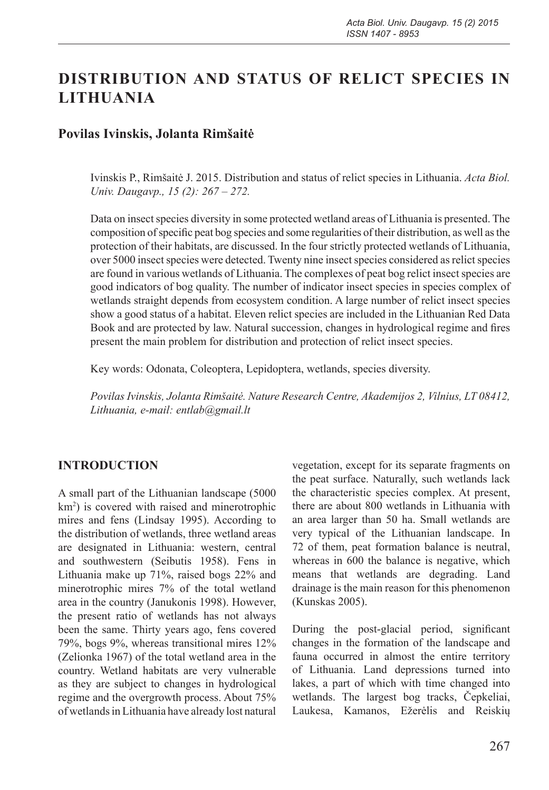# **DISTRIBUTION AND STATUS OF RELICT SPECIES IN LITHUANIA**

### **Povilas Ivinskis, Jolanta Rimšaitė**

Ivinskis P., Rimšaitė J. 2015. Distribution and status of relict species in Lithuania. *Acta Biol. Univ. Daugavp., 15 (2): 267 – 272.*

Data on insect species diversity in some protected wetland areas of Lithuania is presented. The composition of specific peat bog species and some regularities of their distribution, as well as the protection of their habitats, are discussed. In the four strictly protected wetlands of Lithuania, over 5000 insect species were detected. Twenty nine insect species considered as relict species are found in various wetlands of Lithuania. The complexes of peat bog relict insect species are good indicators of bog quality. The number of indicator insect species in species complex of wetlands straight depends from ecosystem condition. A large number of relict insect species show a good status of a habitat. Eleven relict species are included in the Lithuanian Red Data Book and are protected by law. Natural succession, changes in hydrological regime and fires present the main problem for distribution and protection of relict insect species.

Key words: Odonata, Coleoptera, Lepidoptera, wetlands, species diversity.

*Povilas Ivinskis, Jolanta Rimšaitė. Nature Research Centre, Akademijos 2, Vilnius, LT 08412, Lithuania, e-mail: entlab@gmail.lt*

#### **INTRODUCTION**

A small part of the Lithuanian landscape (5000 km2 ) is covered with raised and minerotrophic mires and fens (Lindsay 1995). According to the distribution of wetlands, three wetland areas are designated in Lithuania: western, central and southwestern (Seibutis 1958). Fens in Lithuania make up 71%, raised bogs 22% and minerotrophic mires 7% of the total wetland area in the country (Janukonis 1998). However, the present ratio of wetlands has not always been the same. Thirty years ago, fens covered 79%, bogs 9%, whereas transitional mires 12% (Zelionka 1967) of the total wetland area in the country. Wetland habitats are very vulnerable as they are subject to changes in hydrological regime and the overgrowth process. About 75% of wetlands in Lithuania have already lost natural

vegetation, except for its separate fragments on the peat surface. Naturally, such wetlands lack the characteristic species complex. At present, there are about 800 wetlands in Lithuania with an area larger than 50 ha. Small wetlands are very typical of the Lithuanian landscape. In 72 of them, peat formation balance is neutral, whereas in 600 the balance is negative, which means that wetlands are degrading. Land drainage is the main reason for this phenomenon (Kunskas 2005).

During the post-glacial period, significant changes in the formation of the landscape and fauna occurred in almost the entire territory of Lithuania. Land depressions turned into lakes, a part of which with time changed into wetlands. The largest bog tracks, Čepkeliai, Laukesa, Kamanos, Ežerėlis and Reiskių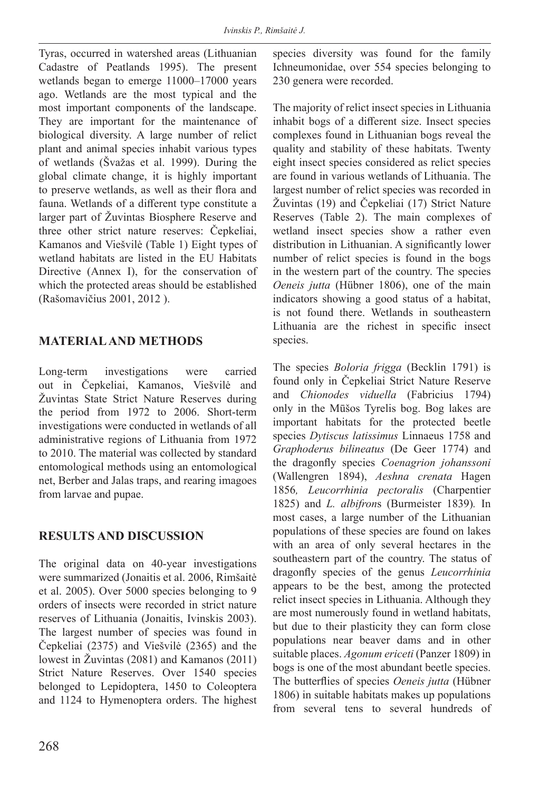Tyras, occurred in watershed areas (Lithuanian Cadastre of Peatlands 1995). The present wetlands began to emerge 11000–17000 years ago. Wetlands are the most typical and the most important components of the landscape. They are important for the maintenance of biological diversity. A large number of relict plant and animal species inhabit various types of wetlands (Švažas et al. 1999). During the global climate change, it is highly important to preserve wetlands, as well as their flora and fauna. Wetlands of a different type constitute a larger part of Žuvintas Biosphere Reserve and three other strict nature reserves: Čepkeliai, Kamanos and Viešvilė (Table 1) Eight types of wetland habitats are listed in the EU Habitats Directive (Annex I), for the conservation of which the protected areas should be established (Rašomavičius 2001, 2012 ).

## **MATERIAL AND METHODS**

Long-term investigations were carried out in Čepkeliai, Kamanos, Viešvilė and Žuvintas State Strict Nature Reserves during the period from 1972 to 2006. Short-term investigations were conducted in wetlands of all administrative regions of Lithuania from 1972 to 2010. The material was collected by standard entomological methods using an entomological net, Berber and Jalas traps, and rearing imagoes from larvae and pupae.

## **RESULTS AND DISCUSSION**

The original data on 40-year investigations were summarized (Jonaitis et al. 2006, Rimšaitė et al. 2005). Over 5000 species belonging to 9 orders of insects were recorded in strict nature reserves of Lithuania (Jonaitis, Ivinskis 2003). The largest number of species was found in Čepkeliai (2375) and Viešvilė (2365) and the lowest in Žuvintas (2081) and Kamanos (2011) Strict Nature Reserves. Over 1540 species belonged to Lepidoptera, 1450 to Coleoptera and 1124 to Hymenoptera orders. The highest species diversity was found for the family Ichneumonidae, over 554 species belonging to 230 genera were recorded.

The majority of relict insect species in Lithuania inhabit bogs of a different size. Insect species complexes found in Lithuanian bogs reveal the quality and stability of these habitats. Twenty eight insect species considered as relict species are found in various wetlands of Lithuania. The largest number of relict species was recorded in Žuvintas (19) and Čepkeliai (17) Strict Nature Reserves (Table 2). The main complexes of wetland insect species show a rather even distribution in Lithuanian. A significantly lower number of relict species is found in the bogs in the western part of the country. The species *Oeneis jutta* (Hübner 1806), one of the main indicators showing a good status of a habitat, is not found there. Wetlands in southeastern Lithuania are the richest in specific insect species.

The species *Boloria frigga* (Becklin 1791) is found only in Čepkeliai Strict Nature Reserve and *Chionodes viduella* (Fabricius 1794) only in the Mūšos Tyrelis bog. Bog lakes are important habitats for the protected beetle species *Dytiscus latissimus* Linnaeus 1758 and *Graphoderus bilineatus* (De Geer 1774) and the dragonfly species *Coenagrion johanssoni*  (Wallengren 1894), *Aeshna crenata* Hagen 1856*, Leucorrhinia pectoralis* (Charpentier 1825) and *L. albifron*s (Burmeister 1839)*.* In most cases, a large number of the Lithuanian populations of these species are found on lakes with an area of only several hectares in the southeastern part of the country. The status of dragonfly species of the genus *Leucorrhinia* appears to be the best, among the protected relict insect species in Lithuania. Although they are most numerously found in wetland habitats, but due to their plasticity they can form close populations near beaver dams and in other suitable places. *Agonum ericeti* (Panzer 1809) in bogs is one of the most abundant beetle species. The butterflies of species *Oeneis jutta* (Hübner 1806) in suitable habitats makes up populations from several tens to several hundreds of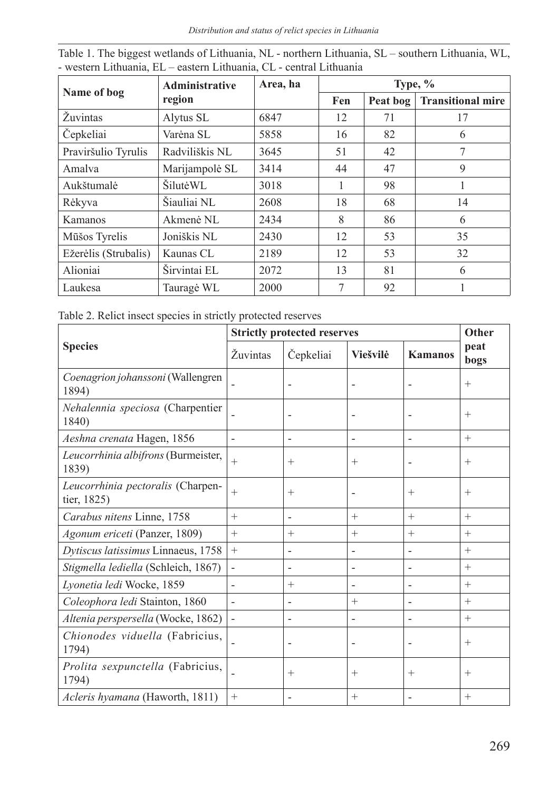*Distribution and status of relict species in Lithuania*

|                      | Area, ha<br><b>Administrative</b> |      | Type, $\%$ |          |                          |  |
|----------------------|-----------------------------------|------|------------|----------|--------------------------|--|
| Name of bog          | region                            |      | Fen        | Peat bog | <b>Transitional mire</b> |  |
| Žuvintas             | Alytus SL                         | 6847 | 12         | 71       | 17                       |  |
| Čepkeliai            | Varėna SL                         | 5858 | 16         | 82       | 6                        |  |
| Praviršulio Tyrulis  | Radviliškis NL                    | 3645 | 51         | 42       | 7                        |  |
| Amalya               | Marijampolė SL                    | 3414 | 44         | 47       | 9                        |  |
| Aukštumalė           | ŠilutėWL                          | 3018 |            | 98       |                          |  |
| Rėkyva               | Šiauliai NL                       | 2608 | 18         | 68       | 14                       |  |
| Kamanos              | Akmenė NL                         | 2434 | 8          | 86       | 6                        |  |
| Mūšos Tyrelis        | Joniškis NL                       | 2430 | 12         | 53       | 35                       |  |
| Ežerėlis (Strubalis) | Kaunas CL                         | 2189 | 12         | 53       | 32                       |  |
| Alioniai             | Širvintai EL                      | 2072 | 13         | 81       | 6                        |  |
| Laukesa              | Tauragė WL                        | 2000 | 7          | 92       |                          |  |

| Table 1. The biggest wetlands of Lithuania, NL - northern Lithuania, SL - southern Lithuania, WL, |  |
|---------------------------------------------------------------------------------------------------|--|
| - western Lithuania, EL – eastern Lithuania, CL - central Lithuania                               |  |

Table 2. Relict insect species in strictly protected reserves

|                                                  | <b>Strictly protected reserves</b> | Other                    |                          |                          |              |
|--------------------------------------------------|------------------------------------|--------------------------|--------------------------|--------------------------|--------------|
| <b>Species</b>                                   | Žuvintas                           | Čepkeliai                | Viešvilė                 | <b>Kamanos</b>           | peat<br>bogs |
| Coenagrion johanssoni (Wallengren<br>1894)       |                                    |                          |                          |                          | $+$          |
| Nehalennia speciosa (Charpentier<br>1840)        |                                    |                          |                          | $\overline{\phantom{0}}$ | $+$          |
| Aeshna crenata Hagen, 1856                       | $\overline{\phantom{a}}$           | -                        | $\overline{\phantom{a}}$ | $\overline{\phantom{a}}$ | $+$          |
| Leucorrhinia albifrons (Burmeister,<br>1839)     | $+$                                | $^{+}$                   | $^{+}$                   |                          | $^{+}$       |
| Leucorrhinia pectoralis (Charpen-<br>tier, 1825) | $+$                                | $^{+}$                   |                          | $^{+}$                   | $^{+}$       |
| Carabus nitens Linne, 1758                       | $+$                                |                          | $+$                      | $+$                      | $^{+}$       |
| Agonum ericeti (Panzer, 1809)                    | $^{+}$                             | $^{+}$                   | $^{+}$                   | $^{+}$                   | $^{+}$       |
| Dytiscus latissimus Linnaeus, 1758               | $^{+}$                             | -                        | $\overline{\phantom{a}}$ | $\overline{\phantom{0}}$ | $^{+}$       |
| Stigmella lediella (Schleich, 1867)              |                                    | $\overline{a}$           | $\overline{\phantom{0}}$ | $\overline{\phantom{0}}$ | $+$          |
| Lyonetia ledi Wocke, 1859                        |                                    | $^{+}$                   |                          | $\overline{\phantom{0}}$ | $^{+}$       |
| Coleophora ledi Stainton, 1860                   | $\blacksquare$                     | $\overline{\phantom{0}}$ | $^{+}$                   | $\overline{a}$           | $^{+}$       |
| Altenia perspersella (Wocke, 1862)               | $\overline{\phantom{a}}$           | $\overline{a}$           | $\overline{\phantom{0}}$ | $\overline{\phantom{0}}$ | $^{+}$       |
| Chionodes viduella (Fabricius,<br>1794)          |                                    | ۰                        |                          |                          | $^{+}$       |
| Prolita sexpunctella (Fabricius,<br>1794)        |                                    | $^{+}$                   | $^{+}$                   | $^{+}$                   | $^{+}$       |
| Acleris hyamana (Haworth, 1811)                  | $+$                                | ۰                        | $^{+}$                   |                          | $+$          |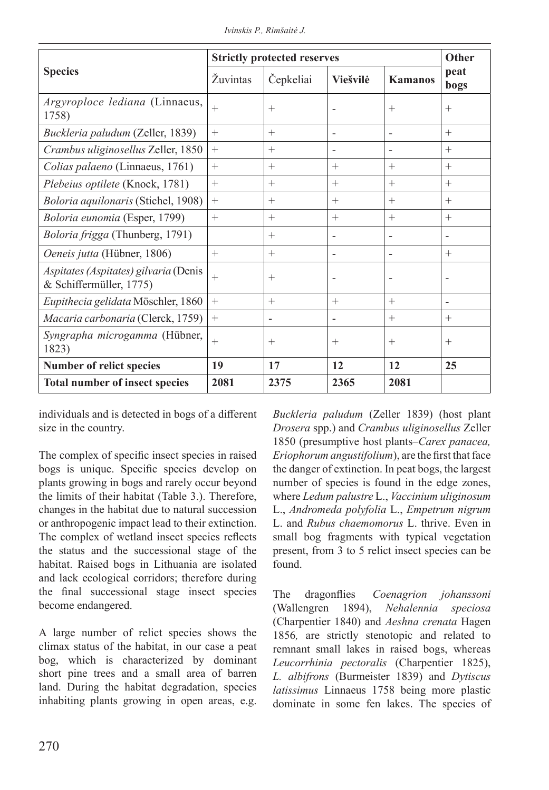|                                                                  | <b>Strictly protected reserves</b> |                |                 |                          | Other        |
|------------------------------------------------------------------|------------------------------------|----------------|-----------------|--------------------------|--------------|
| <b>Species</b>                                                   | <b>Zuvintas</b>                    | Čepkeliai      | <b>Viešvilė</b> | <b>Kamanos</b>           | peat<br>bogs |
| Argyroploce lediana (Linnaeus,<br>1758)                          | $^{+}$                             | $^{+}$         |                 | $^{+}$                   | $^{+}$       |
| Buckleria paludum (Zeller, 1839)                                 | $^{+}$                             | $^{+}$         | -               | $\overline{\phantom{a}}$ | $^{+}$       |
| Crambus uliginosellus Zeller, 1850                               | $+$                                | $^{+}$         | -               | $\overline{\phantom{m}}$ | $^{+}$       |
| Colias palaeno (Linnaeus, 1761)                                  | $^{+}$                             | $^{+}$         | $^{+}$          | $^{+}$                   | $^{+}$       |
| Plebeius optilete (Knock, 1781)                                  | $^{+}$                             | $^{+}$         | $^{+}$          | $^{+}$                   | $^{+}$       |
| Boloria aquilonaris (Stichel, 1908)                              | $^{+}$                             | $^{+}$         | $^{+}$          | $^{+}$                   | $^{+}$       |
| Boloria eunomia (Esper, 1799)                                    | $^{+}$                             | $^{+}$         | $^{+}$          | $+$                      | $^{+}$       |
| Boloria frigga (Thunberg, 1791)                                  |                                    | $^{+}$         | $\overline{a}$  | $\overline{\phantom{a}}$ |              |
| Oeneis jutta (Hübner, 1806)                                      | $^{+}$                             | $^{+}$         | $\overline{a}$  | $\overline{\phantom{a}}$ | $^{+}$       |
| Aspitates (Aspitates) gilvaria (Denis<br>& Schiffermüller, 1775) | $^{+}$                             | $^{+}$         |                 |                          |              |
| Eupithecia gelidata Möschler, 1860                               | $+$                                | $^{+}$         | $^{+}$          | $+$                      |              |
| Macaria carbonaria (Clerck, 1759)                                | $^{+}$                             | $\blacksquare$ | ٠               | $^{+}$                   | $^{+}$       |
| Syngrapha microgamma (Hübner,<br>1823)                           | $+$                                | $^{+}$         | $^{+}$          | $^{+}$                   | $^{+}$       |
| <b>Number of relict species</b>                                  | 19                                 | 17             | 12              | 12                       | 25           |
| <b>Total number of insect species</b>                            | 2081                               | 2375           | 2365            | 2081                     |              |

*Ivinskis P., Rimšaitė J.*

individuals and is detected in bogs of a different size in the country.

The complex of specific insect species in raised bogs is unique. Specific species develop on plants growing in bogs and rarely occur beyond the limits of their habitat (Table 3.). Therefore, changes in the habitat due to natural succession or anthropogenic impact lead to their extinction. The complex of wetland insect species reflects the status and the successional stage of the habitat. Raised bogs in Lithuania are isolated and lack ecological corridors; therefore during the final successional stage insect species become endangered.

A large number of relict species shows the climax status of the habitat, in our case a peat bog, which is characterized by dominant short pine trees and a small area of barren land. During the habitat degradation, species inhabiting plants growing in open areas, e.g.

*Buckleria paludum* (Zeller 1839) (host plant *Drosera* spp.) and *Crambus uliginosellus* Zeller 1850 (presumptive host plants–*Carex panacea, Eriophorum angustifolium*), are the first that face the danger of extinction. In peat bogs, the largest number of species is found in the edge zones, where *Ledum palustre* L., *Vaccinium uliginosum*  L., *Andromeda polyfolia* L., *Empetrum nigrum* L. and *Rubus chaemomorus* L. thrive. Even in small bog fragments with typical vegetation present, from 3 to 5 relict insect species can be found.

The dragonflies *Coenagrion johanssoni* (Wallengren 1894), *Nehalennia speciosa*  (Charpentier 1840) and *Aeshna crenata* Hagen 1856*,* are strictly stenotopic and related to remnant small lakes in raised bogs, whereas *Leucorrhinia pectoralis* (Charpentier 1825), *L. albifrons* (Burmeister 1839) and *Dytiscus latissimus* Linnaeus 1758 being more plastic dominate in some fen lakes. The species of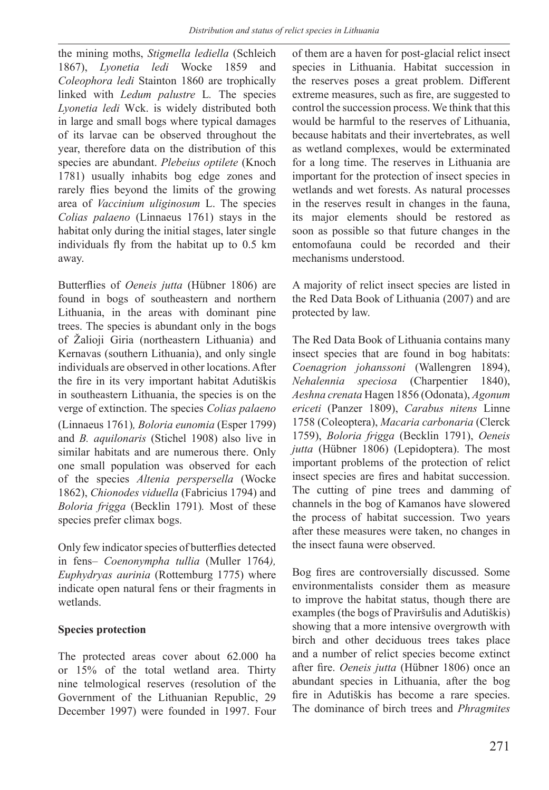the mining moths, *Stigmella lediella* (Schleich 1867), *Lyonetia ledi* Wocke 1859 and *Coleophora ledi* Stainton 1860 are trophically linked with *Ledum palustre* L*.* The species *Lyonetia ledi* Wck. is widely distributed both in large and small bogs where typical damages of its larvae can be observed throughout the year, therefore data on the distribution of this species are abundant. *Plebeius optilete* (Knoch 1781) usually inhabits bog edge zones and rarely flies beyond the limits of the growing area of *Vaccinium uliginosum* L. The species *Colias palaeno* (Linnaeus 1761) stays in the habitat only during the initial stages, later single individuals fly from the habitat up to 0.5 km away.

Butterflies of *Oeneis jutta* (Hübner 1806) are found in bogs of southeastern and northern Lithuania, in the areas with dominant pine trees. The species is abundant only in the bogs of Žalioji Giria (northeastern Lithuania) and Kernavas (southern Lithuania), and only single individuals are observed in other locations. After the fire in its very important habitat Adutiškis in southeastern Lithuania, the species is on the verge of extinction. The species *Colias palaeno*  (Linnaeus 1761)*, Boloria eunomia* (Esper 1799) and *B. aquilonaris* (Stichel 1908) also live in similar habitats and are numerous there. Only one small population was observed for each of the species *Altenia perspersella* (Wocke 1862), *Chionodes viduella* (Fabricius 1794) and *Boloria frigga* (Becklin 1791)*.* Most of these species prefer climax bogs.

Only few indicator species of butterflies detected in fens– *Coenonympha tullia* (Muller 1764*), Euphydryas aurinia* (Rottemburg 1775) where indicate open natural fens or their fragments in wetlands.

#### **Species protection**

The protected areas cover about 62.000 ha or 15% of the total wetland area. Thirty nine telmological reserves (resolution of the Government of the Lithuanian Republic, 29 December 1997) were founded in 1997. Four

of them are a haven for post-glacial relict insect species in Lithuania. Habitat succession in the reserves poses a great problem. Different extreme measures, such as fire, are suggested to control the succession process. We think that this would be harmful to the reserves of Lithuania, because habitats and their invertebrates, as well as wetland complexes, would be exterminated for a long time. The reserves in Lithuania are important for the protection of insect species in wetlands and wet forests. As natural processes in the reserves result in changes in the fauna, its major elements should be restored as soon as possible so that future changes in the entomofauna could be recorded and their mechanisms understood.

A majority of relict insect species are listed in the Red Data Book of Lithuania (2007) and are protected by law.

The Red Data Book of Lithuania contains many insect species that are found in bog habitats: *Coenagrion johanssoni* (Wallengren 1894), *Nehalennia speciosa* (Charpentier 1840), *Aeshna crenata* Hagen 1856 (Odonata), *Agonum ericeti* (Panzer 1809), *Carabus nitens* Linne 1758 (Coleoptera), *Macaria carbonaria* (Clerck 1759), *Boloria frigga* (Becklin 1791), *Oeneis jutta* (Hübner 1806) (Lepidoptera). The most important problems of the protection of relict insect species are fires and habitat succession. The cutting of pine trees and damming of channels in the bog of Kamanos have slowered the process of habitat succession. Two years after these measures were taken, no changes in the insect fauna were observed.

Bog fires are controversially discussed. Some environmentalists consider them as measure to improve the habitat status, though there are examples (the bogs of Praviršulis and Adutiškis) showing that a more intensive overgrowth with birch and other deciduous trees takes place and a number of relict species become extinct after fire. *Oeneis jutta* (Hübner 1806) once an abundant species in Lithuania, after the bog fire in Adutiškis has become a rare species. The dominance of birch trees and *Phragmites*